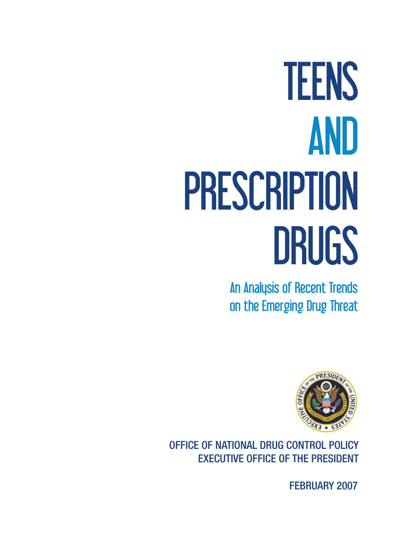# TEENS AND PRESCRIPTION DRUGS

An Analysis of Recent Trends on the Emerging Drug Threat



OFFICE OF NATIONAL DRUG CONTROL POLICY EXECUTIVE OFFICE OF THE PRESIDENT

FEBRUARY 2007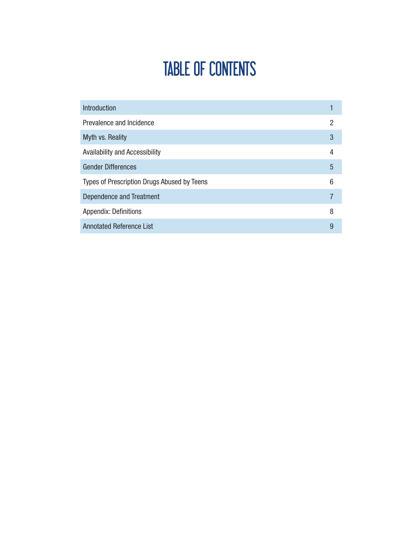# TABLE OF CONTENTS

| <b>Introduction</b>                         |   |
|---------------------------------------------|---|
| Prevalence and Incidence                    | 2 |
| Myth vs. Reality                            | 3 |
| <b>Availability and Accessibility</b>       | 4 |
| <b>Gender Differences</b>                   | 5 |
| Types of Prescription Drugs Abused by Teens | 6 |
| Dependence and Treatment                    |   |
| <b>Appendix: Definitions</b>                | 8 |
| <b>Annotated Reference List</b>             | 9 |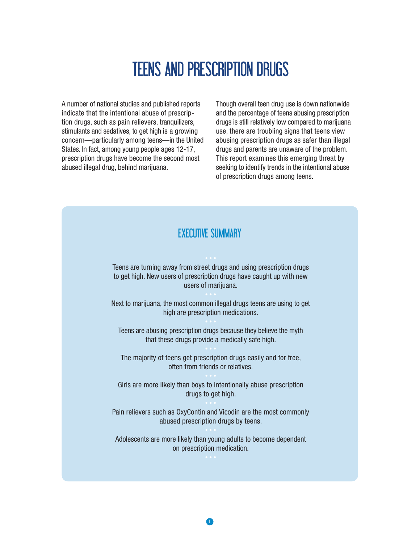# TEENS AND PRESCRIPTION DRUGS

A number of national studies and published reports indicate that the intentional abuse of prescription drugs, such as pain relievers, tranquilizers, stimulants and sedatives, to get high is a growing concern—particularly among teens—in the United States. In fact, among young people ages 12-17, prescription drugs have become the second most abused illegal drug, behind marijuana.

Though overall teen drug use is down nationwide and the percentage of teens abusing prescription drugs is still relatively low compared to marijuana use, there are troubling signs that teens view abusing prescription drugs as safer than illegal drugs and parents are unaware of the problem. This report examines this emerging threat by seeking to identify trends in the intentional abuse of prescription drugs among teens.

## EXECUTIVE SUMMARY Teens are turning away from street drugs and using prescription drugs to get high. New users of prescription drugs have caught up with new users of marijuana. Next to marijuana, the most common illegal drugs teens are using to get high are prescription medications. Teens are abusing prescription drugs because they believe the myth that these drugs provide a medically safe high. The majority of teens get prescription drugs easily and for free, often from friends or relatives. Girls are more likely than boys to intentionally abuse prescription drugs to get high. Pain relievers such as OxyContin and Vicodin are the most commonly abused prescription drugs by teens. Adolescents are more likely than young adults to become dependent on prescription medication.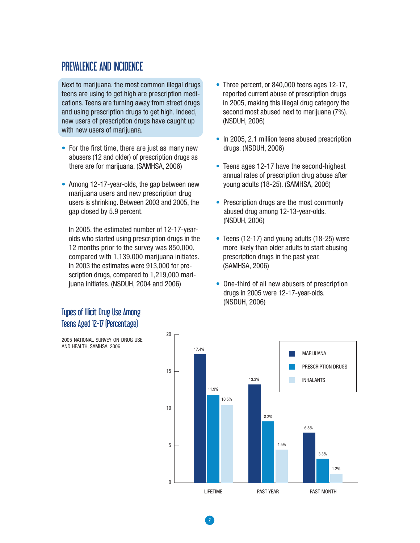## Prevalence and Incidence

Next to marijuana, the most common illegal drugs teens are using to get high are prescription medications. Teens are turning away from street drugs and using prescription drugs to get high. Indeed, new users of prescription drugs have caught up with new users of marijuana.

- For the first time, there are just as many new abusers (12 and older) of prescription drugs as there are for marijuana. (SAMHSA, 2006)
- Among 12-17-year-olds, the gap between new marijuana users and new prescription drug users is shrinking. Between 2003 and 2005, the gap closed by 5.9 percent.

In 2005, the estimated number of 12-17-yearolds who started using prescription drugs in the 12 months prior to the survey was 850,000, compared with 1,139,000 marijuana initiates. In 2003 the estimates were 913,000 for prescription drugs, compared to 1,219,000 marijuana initiates. (NSDUH, 2004 and 2006)

- Three percent, or 840,000 teens ages 12-17, reported current abuse of prescription drugs in 2005, making this illegal drug category the second most abused next to marijuana (7%). (NSDUH, 2006)
- In 2005, 2.1 million teens abused prescription drugs. (NSDUH, 2006)
- Teens ages 12-17 have the second-highest annual rates of prescription drug abuse after young adults (18-25). (SAMHSA, 2006)
- Prescription drugs are the most commonly abused drug among 12-13-year-olds. (NSDUH, 2006)
- Teens (12-17) and young adults (18-25) were more likely than older adults to start abusing prescription drugs in the past year. (SAMHSA, 2006)
- One-third of all new abusers of prescription drugs in 2005 were 12-17-year-olds. (NSDUH, 2006)



## Types of Illicit Drug Use Among Teens Aged 12-17 (Percentage)

2005 National survey on drug use and health, SAMhsa. 2006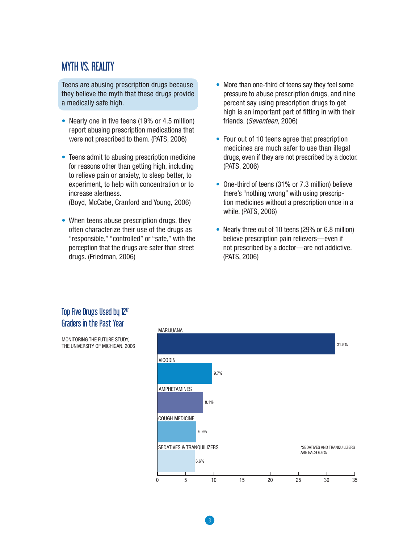## MYTH VS. REALITY

Teens are abusing prescription drugs because they believe the myth that these drugs provide a medically safe high.

- Nearly one in five teens (19% or 4.5 million) report abusing prescription medications that were not prescribed to them. (PATS, 2006)
- Teens admit to abusing prescription medicine for reasons other than getting high, including to relieve pain or anxiety, to sleep better, to experiment, to help with concentration or to increase alertness. (Boyd, McCabe, Cranford and Young, 2006)

• When teens abuse prescription drugs, they often characterize their use of the drugs as "responsible," "controlled" or "safe," with the perception that the drugs are safer than street drugs. (Friedman, 2006)

- More than one-third of teens say they feel some pressure to abuse prescription drugs, and nine percent say using prescription drugs to get high is an important part of fitting in with their friends. (*Seventeen,* 2006)
- Four out of 10 teens agree that prescription medicines are much safer to use than illegal drugs, even if they are not prescribed by a doctor. (PATS, 2006)
- One-third of teens (31% or 7.3 million) believe there's "nothing wrong" with using prescription medicines without a prescription once in a while. (PATS, 2006)
- Nearly three out of 10 teens (29% or 6.8 million) believe prescription pain relievers—even if not prescribed by a doctor—are not addictive. (PATS, 2006)

## Top Five Drugs Used by 12th Graders in the Past Year

Monitoring the future study, the University of michigan. 2006

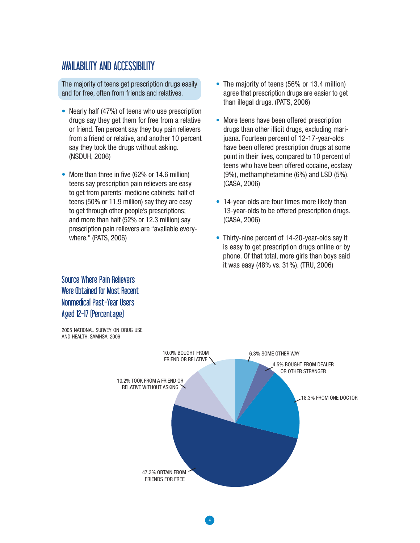## AVAILABILITY AND ACCESSIBILITY

The majority of teens get prescription drugs easily and for free, often from friends and relatives.

- Nearly half (47%) of teens who use prescription drugs say they get them for free from a relative or friend. Ten percent say they buy pain relievers from a friend or relative, and another 10 percent say they took the drugs without asking. (NSDUH, 2006)
- More than three in five (62% or 14.6 million) teens say prescription pain relievers are easy to get from parents' medicine cabinets; half of teens (50% or 11.9 million) say they are easy to get through other people's prescriptions; and more than half (52% or 12.3 million) say prescription pain relievers are "available everywhere." (PATS, 2006)
- The majority of teens (56% or 13.4 million) agree that prescription drugs are easier to get than illegal drugs. (PATS, 2006)
- More teens have been offered prescription drugs than other illicit drugs, excluding marijuana. Fourteen percent of 12-17-year-olds have been offered prescription drugs at some point in their lives, compared to 10 percent of teens who have been offered cocaine, ecstasy (9%), methamphetamine (6%) and LSD (5%). (CASA, 2006)
- 14-year-olds are four times more likely than 13-year-olds to be offered prescription drugs. (CASA, 2006)
- Thirty-nine percent of 14-20-year-olds say it is easy to get prescription drugs online or by phone. Of that total, more girls than boys said it was easy (48% vs. 31%). (TRU, 2006)

Source Where Pain Relievers Were Obtained for Most Recent Nonmedical Past-Year Users Aged 12-17 (Percentage)

2005 National survey on drug use and health, SAMhsa. 2006

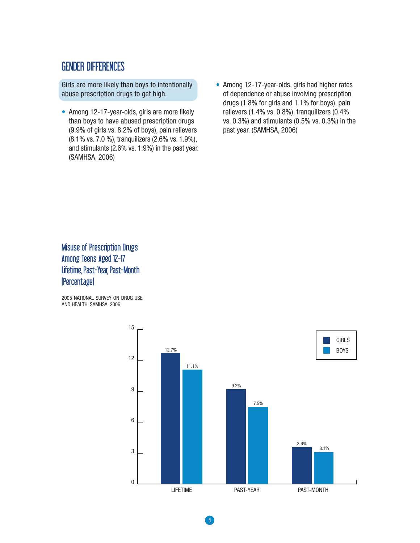## GENDER DIFFERENCES

Girls are more likely than boys to intentionally abuse prescription drugs to get high.

- Among 12-17-year-olds, girls are more likely than boys to have abused prescription drugs (9.9% of girls vs. 8.2% of boys), pain relievers (8.1% vs. 7.0 %), tranquilizers (2.6% vs. 1.9%), and stimulants (2.6% vs. 1.9%) in the past year. (SAMHSA, 2006)
- Among 12-17-year-olds, girls had higher rates of dependence or abuse involving prescription drugs (1.8% for girls and 1.1% for boys), pain relievers (1.4% vs. 0.8%), tranquilizers (0.4% vs. 0.3%) and stimulants (0.5% vs. 0.3%) in the past year. (SAMHSA, 2006)

## Misuse of Prescription Drugs Among Teens Aged 12-17 Lifetime, Past-Year, Past-Month (Percentage)

2005 National survey on drug use and health, SAMhsa. 2006



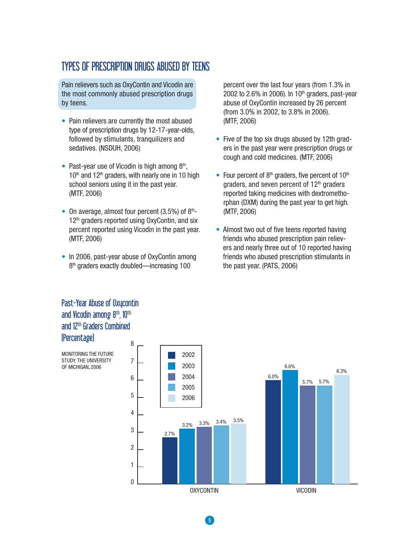## TYPES OF PRESCRIPTION DRUGS ABuSED BY TEENS

Pain relievers such as OxyContin and Vicodin are the most commonly abused prescription drugs by teens.

- Pain relievers are currently the most abused type of prescription drugs by 12-17-year-olds, followed by stimulants, tranquilizers and sedatives. (NSDUH, 2006)
- Past-year use of Vicodin is high among  $8<sup>th</sup>$ ,  $10<sup>th</sup>$  and  $12<sup>th</sup>$  graders, with nearly one in 10 high school seniors using it in the past year. (MTF, 2006)
- On average, almost four percent  $(3.5\%)$  of  $8<sup>th</sup>$ -12<sup>th</sup> graders reported using OxyContin, and six percent reported using Vicodin in the past year. (MTF, 2006)
- In 2006, past-year abuse of OxyContin among 8<sup>th</sup> graders exactly doubled—increasing 100

percent over the last four years (from 1.3% in 2002 to 2.6% in 2006). In 10<sup>th</sup> graders, past-year abuse of OxyContin increased by 26 percent (from 3.0% in 2002, to 3.8% in 2006). (MTF, 2006)

- Five of the top six drugs abused by 12th graders in the past year were prescription drugs or cough and cold medicines. (MTF, 2006)
- Four percent of  $8<sup>th</sup>$  graders, five percent of  $10<sup>th</sup>$ graders, and seven percent of  $12<sup>th</sup>$  graders reported taking medicines with dextromethorphan (DXM) during the past year to get high. (MTF, 2006)
- Almost two out of five teens reported having friends who abused prescription pain relievers and nearly three out of 10 reported having friends who abused prescription stimulants in the past year. (PATS, 2006)



 $\left[\begin{array}{c} 6 \end{array}\right]$ 

## Past-Year Abuse of Oxycontin and Vicodin among 8<sup>th</sup>, 10<sup>th</sup> and 12 th Graders Combined

Monitoring the future study, the University of Michigan**.** 2006

(Percentage)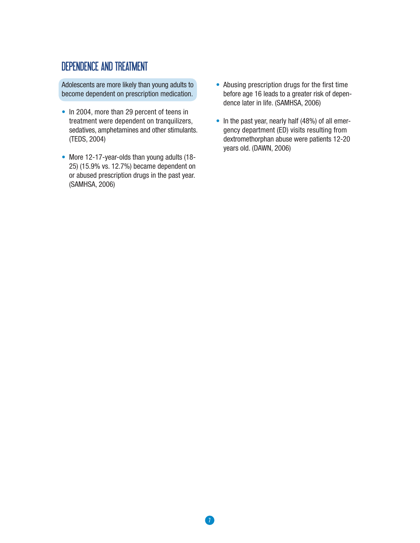## DEPENDENCE AnD TREATMENT

Adolescents are more likely than young adults to become dependent on prescription medication.

- In 2004, more than 29 percent of teens in treatment were dependent on tranquilizers, sedatives, amphetamines and other stimulants. (TEDS, 2004)
- More 12-17-year-olds than young adults (18- 25) (15.9% vs. 12.7%) became dependent on or abused prescription drugs in the past year. (SAMHSA, 2006)
- Abusing prescription drugs for the first time before age 16 leads to a greater risk of dependence later in life. (SAMHSA, 2006)
- In the past year, nearly half (48%) of all emergency department (ED) visits resulting from dextromethorphan abuse were patients 12-20 years old. (DAWN, 2006)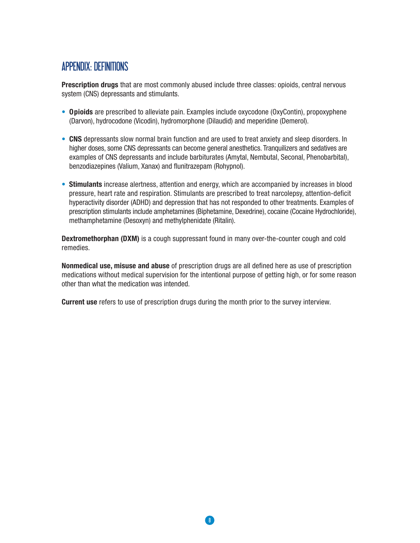## APPENDIX: DEFINITIONS

**Prescription drugs** that are most commonly abused include three classes: opioids, central nervous system (CNS) depressants and stimulants.

- **Opioids** are prescribed to alleviate pain. Examples include oxycodone (OxyContin), propoxyphene (Darvon), hydrocodone (Vicodin), hydromorphone (Dilaudid) and meperidine (Demerol).
- **CNS** depressants slow normal brain function and are used to treat anxiety and sleep disorders. In higher doses, some CNS depressants can become general anesthetics. Tranquilizers and sedatives are examples of CNS depressants and include barbiturates (Amytal, Nembutal, Seconal, Phenobarbital), benzodiazepines (Valium, Xanax) and flunitrazepam (Rohypnol).
- **Stimulants** increase alertness, attention and energy, which are accompanied by increases in blood pressure, heart rate and respiration. Stimulants are prescribed to treat narcolepsy, attention-deficit hyperactivity disorder (ADHD) and depression that has not responded to other treatments. Examples of prescription stimulants include amphetamines (Biphetamine, Dexedrine), cocaine (Cocaine Hydrochloride), methamphetamine (Desoxyn) and methylphenidate (Ritalin).

**Dextromethorphan (DXM)** is a cough suppressant found in many over-the-counter cough and cold remedies.

**Nonmedical use, misuse and abuse** of prescription drugs are all defined here as use of prescription medications without medical supervision for the intentional purpose of getting high, or for some reason other than what the medication was intended.

**Current use** refers to use of prescription drugs during the month prior to the survey interview.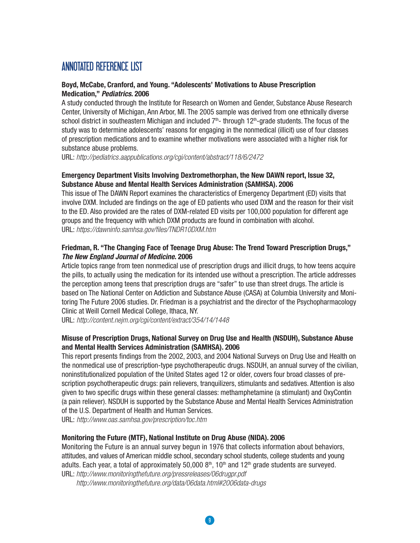## ANNOTATED REFERENCE LIST

#### **Boyd, McCabe, Cranford, and Young. "Adolescents' Motivations to Abuse Prescription Medication,"** *Pediatrics***. 2006**

A study conducted through the Institute for Research on Women and Gender, Substance Abuse Research Center, University of Michigan, Ann Arbor, MI. The 2005 sample was derived from one ethnically diverse school district in southeastern Michigan and included  $7<sup>th</sup>$ - through 12<sup>th</sup>-grade students. The focus of the study was to determine adolescents' reasons for engaging in the nonmedical (illicit) use of four classes of prescription medications and to examine whether motivations were associated with a higher risk for substance abuse problems.

URL: *<http://pediatrics.aappublications.org/cgi/content/abstract/118/6/2472>*

#### **Emergency Department Visits Involving Dextromethorphan, the New DAWN report, Issue 32, Substance Abuse and Mental Health Services Administration (SAMHSA). 2006**

This issue of The DAWN Report examines the characteristics of Emergency Department (ED) visits that involve DXM. Included are findings on the age of ED patients who used DXM and the reason for their visit to the ED. Also provided are the rates of DXM-related ED visits per 100,000 population for different age groups and the frequency with which DXM products are found in combination with alcohol. URL: *<https://dawninfo.samhsa.gov/files/TNDR10DXM.htm>*

#### **Friedman, R. "The Changing Face of Teenage Drug Abuse: The Trend Toward Prescription Drugs,"**  *The New England Journal of Medicine***. 2006**

Article topics range from teen nonmedical use of prescription drugs and illicit drugs, to how teens acquire the pills, to actually using the medication for its intended use without a prescription. The article addresses the perception among teens that prescription drugs are "safer" to use than street drugs. The article is based on The National Center on Addiction and Substance Abuse (CASA) at Columbia University and Monitoring The Future 2006 studies. Dr. Friedman is a psychiatrist and the director of the Psychopharmacology Clinic at Weill Cornell Medical College, Ithaca, NY.

URL: *<http://content.nejm.org/cgi/content/extract/354/14/1448>*

#### **Misuse of Prescription Drugs, National Survey on Drug Use and Health (NSDUH), Substance Abuse and Mental Health Services Administration (SAMHSA). 2006**

This report presents findings from the 2002, 2003, and 2004 National Surveys on Drug Use and Health on the nonmedical use of prescription-type psychotherapeutic drugs. NSDUH, an annual survey of the civilian, noninstitutionalized population of the United States aged 12 or older, covers four broad classes of prescription psychotherapeutic drugs: pain relievers, tranquilizers, stimulants and sedatives. Attention is also given to two specific drugs within these general classes: methamphetamine (a stimulant) and OxyContin (a pain reliever). NSDUH is supported by the Substance Abuse and Mental Health Services Administration of the U.S. Department of Health and Human Services.

URL: *<http://www.oas.samhsa.gov/prescription/toc.htm>*

#### **Monitoring the Future (MTF), National Institute on Drug Abuse (NIDA). 2006**

Monitoring the Future is an annual survey begun in 1976 that collects information about behaviors, attitudes, and values of American middle school, secondary school students, college students and young adults. Each year, a total of approximately 50,000  $8<sup>th</sup>$ , 10<sup>th</sup> and 12<sup>th</sup> grade students are surveyed. URL: *<http://www.monitoringthefuture.org/pressreleases/06drugpr.pdf>*

*<http://www.monitoringthefuture.org/data/06data.html#2006data-drugs>*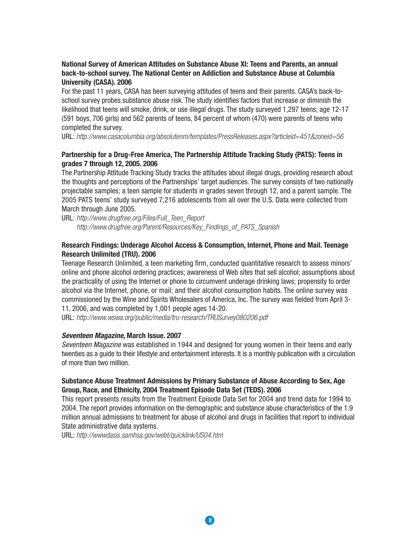### **National Survey of American Attitudes on Substance Abuse XI: Teens and Parents, an annual back-to-school survey. The National Center on Addiction and Substance Abuse at Columbia University (CASA). 2006**

For the past 11 years, CASA has been surveying attitudes of teens and their parents. CASA's back-toschool survey probes substance abuse risk. The study identifies factors that increase or diminish the likelihood that teens will smoke, drink, or use illegal drugs. The study surveyed 1,297 teens; age 12-17 (591 boys, 706 girls) and 562 parents of teens, 84 percent of whom (470) were parents of teens who completed the survey.

URL: *<http://www.casacolumbia.org/absolutenm/templates/PressReleases.aspx?articleid=451&zoneid=56>*

### **Partnership for a Drug-Free America, The Partnership Attitude Tracking Study (PATS): Teens in grades 7 through 12, 2005. 2006**

The Partnership Attitude Tracking Study tracks the attitudes about illegal drugs, providing research about the thoughts and perceptions of the Partnerships' target audiences. The survey consists of two nationally projectable samples; a teen sample for students in grades seven through 12, and a parent sample. The 2005 PATS teens' study surveyed 7,216 adolescents from all over the U.S. Data were collected from March through June 2005.

URL: *[http://www.drugfree.org/Files/Full\\_Teen\\_Report](http://www.drugfree.org/Files/Full_Teen_Report) [http://www.drugfree.org/Parent/Resources/Key\\_Findings\\_of\\_PATS\\_Spanish](http://www.drugfree.org/Parent/Resources/Key_Findings_of_PATS_Spanish)*

#### **Research Findings: Underage Alcohol Access & Consumption, Internet, Phone and Mail. Teenage Research Unlimited (TRU). 2006**

Teenage Research Unlimited, a teen marketing firm, conducted quantitative research to assess minors' online and phone alcohol ordering practices; awareness of Web sites that sell alcohol; assumptions about the practicality of using the Internet or phone to circumvent underage drinking laws; propensity to order alcohol via the Internet, phone, or mail; and their alcohol consumption habits. The online survey was commissioned by the Wine and Spirits Wholesalers of America, Inc. The survey was fielded from April 3- 11, 2006, and was completed by 1,001 people ages 14-20.

URL: *<http://www.wswa.org/public/media/tru-research/TRUSurvey080206.pdf>*

#### *Seventeen Magazine***, March Issue. 2007**

*Seventeen Magazine* was established in 1944 and designed for young women in their teens and early twenties as a guide to their lifestyle and entertainment interests. It is a monthly publication with a circulation of more than two million.

#### **Substance Abuse Treatment Admissions by Primary Substance of Abuse According to Sex, Age Group, Race, and Ethnicity, 2004 Treatment Episode Data Set (TEDS). 2006**

This report presents results from the Treatment Episode Data Set for 2004 and trend data for 1994 to 2004. The report provides information on the demographic and substance abuse characteristics of the 1.9 million annual admissions to treatment for abuse of alcohol and drugs in facilities that report to individual State administrative data systems.

10

URL: *[http://wwwdasis.samhsa.gov/webt/quicklink/US04.htm](http://www.wswa.org/public/media/tru-research/TRUSurvey080206.pdf)*